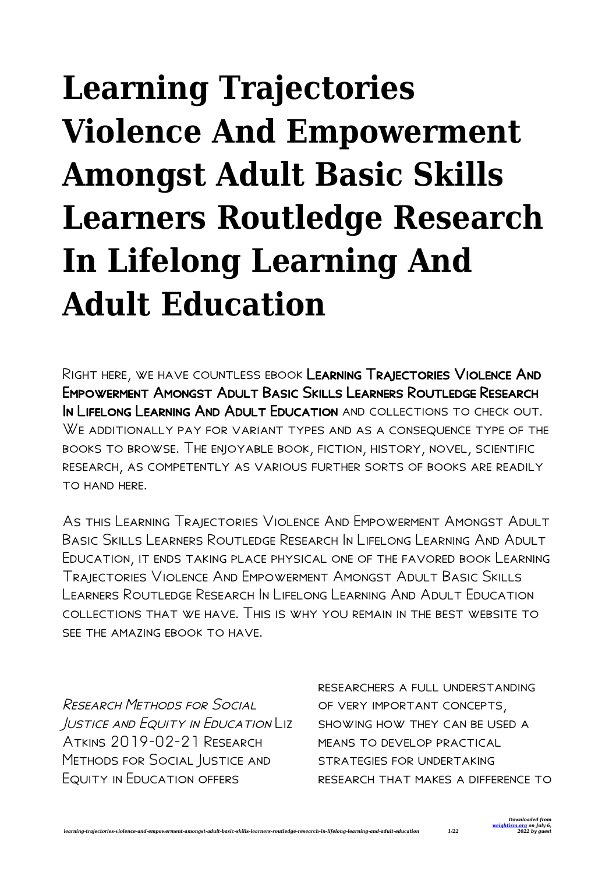# **Learning Trajectories Violence And Empowerment Amongst Adult Basic Skills Learners Routledge Research In Lifelong Learning And Adult Education**

Right here, we have countless ebook Learning Trajectories Violence And Empowerment Amongst Adult Basic Skills Learners Routledge Research IN LIFELONG LEARNING AND ADULT EDUCATION AND COLLECTIONS TO CHECK OUT. WE ADDITIONALLY PAY FOR VARIANT TYPES AND AS A CONSEQUENCE TYPE OF THE books to browse. The enjoyable book, fiction, history, novel, scientific research, as competently as various further sorts of books are readily to hand here.

As this Learning Trajectories Violence And Empowerment Amongst Adult Basic Skills Learners Routledge Research In Lifelong Learning And Adult Education, it ends taking place physical one of the favored book Learning Trajectories Violence And Empowerment Amongst Adult Basic Skills Learners Routledge Research In Lifelong Learning And Adult Education collections that we have. This is why you remain in the best website to see the amazing ebook to have.

Research Methods for Social Justice and Equity in Education Liz Atkins 2019-02-21 Research METHODS FOR SOCIAL JUSTICE AND Equity in Education offers

researchers a full understanding of very important concepts, showing how they can be used a means to develop practical strategies for undertaking research that makes a difference to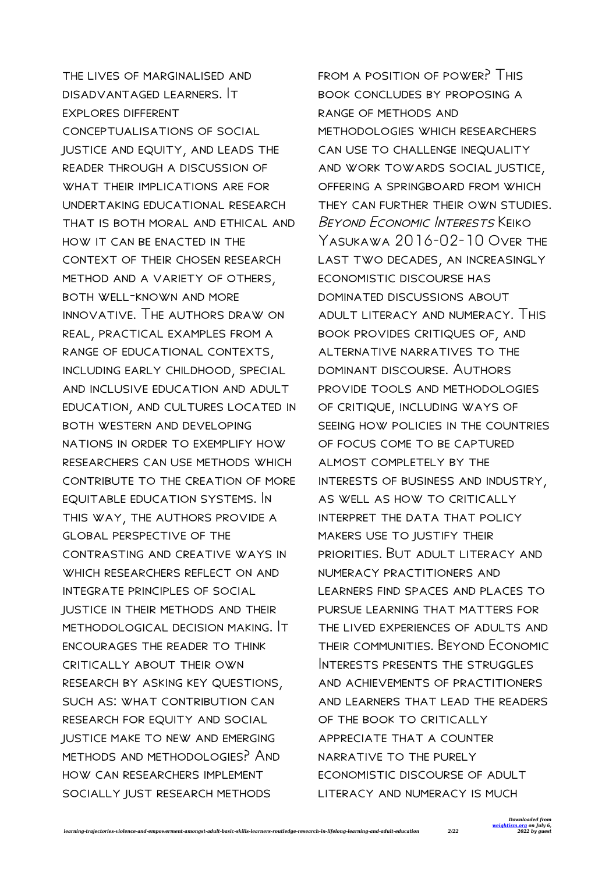the lives of marginalised and disadvantaged learners. It explores different conceptualisations of social justice and equity, and leads the reader through a discussion of WHAT THEIR IMPLICATIONS ARE FOR undertaking educational research that is both moral and ethical and how it can be enacted in the context of their chosen research method and a variety of others, both well-known and more innovative. The authors draw on real, practical examples from a range of educational contexts, including early childhood, special and inclusive education and adult education, and cultures located in both western and developing nations in order to exemplify how researchers can use methods which contribute to the creation of more equitable education systems. In this way, the authors provide a global perspective of the contrasting and creative ways in WHICH RESEARCHERS REFLECT ON AND integrate principles of social justice in their methods and their methodological decision making. It encourages the reader to think critically about their own research by asking key questions, such as: what contribution can research for equity and social justice make to new and emerging methods and methodologies? And how can researchers implement socially just research methods

from a position of power? This book concludes by proposing a range of methods and methodologies which researchers can use to challenge inequality and work towards social justice, offering a springboard from which they can further their own studies. Beyond Economic Interests Keiko Yasukawa 2016-02-10 Over the LAST TWO DECADES, AN INCREASINGLY economistic discourse has dominated discussions about adult literacy and numeracy. This book provides critiques of, and alternative narratives to the dominant discourse. Authors provide tools and methodologies of critique, including ways of seeing how policies in the countries of focus come to be captured almost completely by the interests of business and industry, as well as how to critically interpret the data that policy makers use to justify their priorities. But adult literacy and numeracy practitioners and learners find spaces and places to pursue learning that matters for THE LIVED EXPERIENCES OF ADULTS AND their communities. Beyond Economic INTERESTS PRESENTS THE STRUGGLES and achievements of practitioners and learners that lead the readers of the book to critically appreciate that a counter narrative to the purely economistic discourse of adult literacy and numeracy is much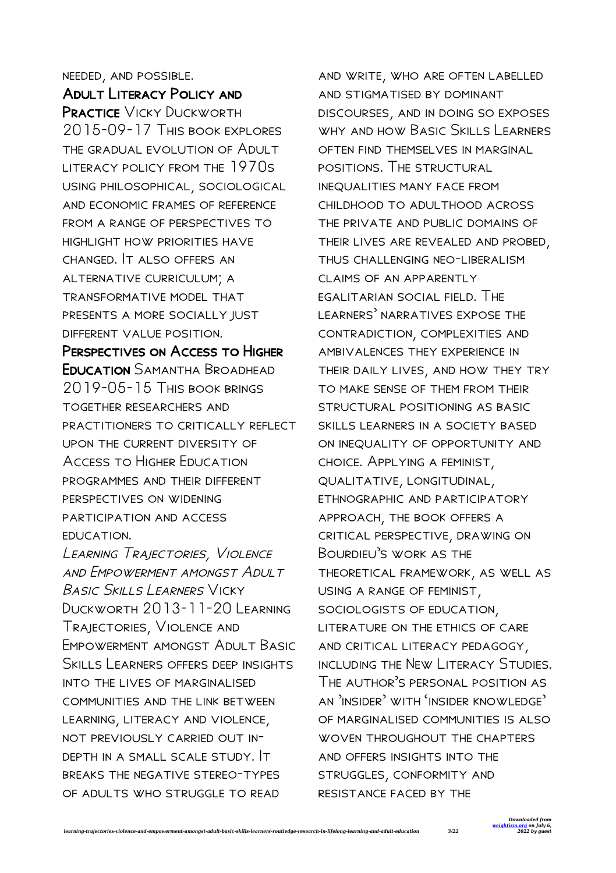needed, and possible.

ADULT LITERACY POLICY AND PRACTICE VICKY DUCKWORTH 2015-09-17 This book explores the gradual evolution of Adult literacy policy from the 1970s using philosophical, sociological and economic frames of reference from a range of perspectives to highlight how priorities have changed. It also offers an alternative curriculum; a transformative model that presents a more socially just different value position.

Perspectives on Access to Higher Education Samantha Broadhead 2019-05-15 THIS BOOK BRINGS together researchers and practitioners to critically reflect upon the current diversity of Access to Higher Education programmes and their different perspectives on widening participation and access education.

Learning Trajectories, Violence and Empowerment amongst Adult Basic Skills Learners Vicky Duckworth 2013-11-20 Learning Trajectories, Violence and Empowerment amongst Adult Basic Skills Learners offers deep insights into the lives of marginalised communities and the link between learning, literacy and violence, not previously carried out indepth in a small scale study. It breaks the negative stereo-types of adults who struggle to read

and write, who are often labelled and stigmatised by dominant discourses, and in doing so exposes why and how Basic Skills Learners often find themselves in marginal positions. The structural inequalities many face from childhood to adulthood across the private and public domains of their lives are revealed and probed, thus challenging neo-liberalism claims of an apparently egalitarian social field. The learners' narratives expose the contradiction, complexities and ambivalences they experience in their daily lives, and how they try to make sense of them from their structural positioning as basic skills learners in a society based on inequality of opportunity and choice. Applying a feminist, qualitative, longitudinal, ethnographic and participatory approach, the book offers a critical perspective, drawing on Bourdieu's work as the theoretical framework, as well as using a range of feminist, sociologists of education, literature on the ethics of care and critical literacy pedagogy, including the New Literacy Studies. The author's personal position as an 'insider' with 'insider knowledge' of marginalised communities is also WOVEN THROUGHOUT THE CHAPTERS and offers insights into the struggles, conformity and resistance faced by the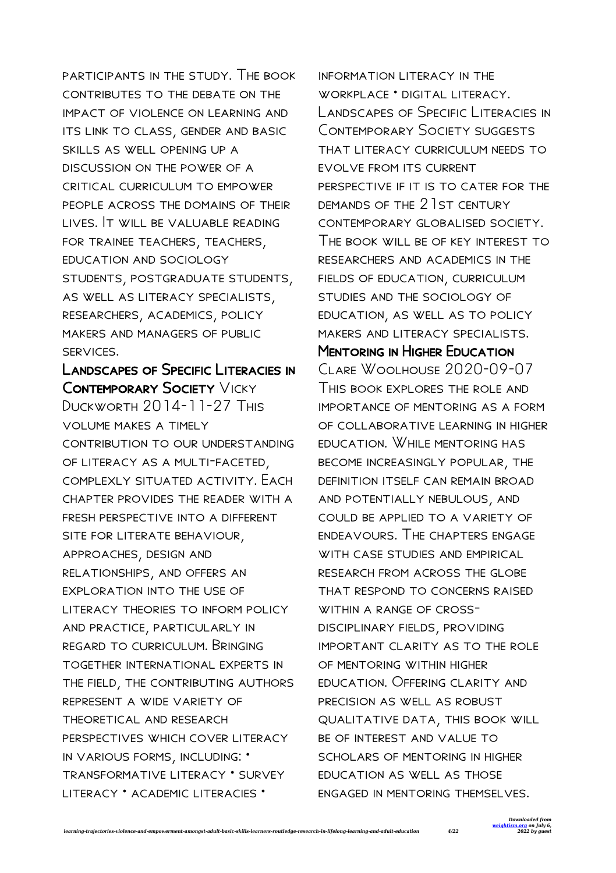participants in the study. The book CONTRIBUTES TO THE DEBATE ON THE impact of violence on learning and its link to class, gender and basic skills as well opening up a discussion on the power of a critical curriculum to empower people across the domains of their lives. It will be valuable reading for trainee teachers, teachers, education and sociology students, postgraduate students, as well as literacy specialists, researchers, academics, policy makers and managers of public services.

LANDSCAPES OF SPECIFIC LITERACIES IN CONTEMPORARY SOCIETY VICKY Duckworth 2014-11-27 This volume makes a timely contribution to our understanding of literacy as a multi-faceted, complexly situated activity. Each chapter provides the reader with a fresh perspective into a different site for literate behaviour, approaches, design and relationships, and offers an exploration into the use of literacy theories to inform policy and practice, particularly in regard to curriculum. Bringing together international experts in the field, the contributing authors represent a wide variety of theoretical and research perspectives which cover literacy in various forms, including: • transformative literacy • survey LITERACY • ACADEMIC LITERACIES •

*learning-trajectories-violence-and-empowerment-amongst-adult-basic-skills-learners-routledge-research-in-lifelong-learning-and-adult-education 4/22*

workplace • digital literacy. Landscapes of Specific Literacies in Contemporary Society suggests that literacy curriculum needs to evolve from its current perspective if it is to cater for the demands of the 21st century contemporary globalised society. The book will be of key interest to researchers and academics in the fields of education, curriculum studies and the sociology of education, as well as to policy makers and literacy specialists. **MENTORING IN HIGHER EDUCATION** CLARE WOOLHOUSE 2020-09-07 THIS ROOK EXPLORES THE ROLE AND importance of mentoring as a form of collaborative learning in higher education. While mentoring has

information literacy in the

become increasingly popular, the definition itself can remain broad and potentially nebulous, and could be applied to a variety of endeavours. The chapters engage WITH CASE STUDIES AND EMPIRICAL research from across the globe that respond to concerns raised WITHIN A RANGE OF CROSSdisciplinary fields, providing important clarity as to the role of mentoring within higher education. Offering clarity and precision as well as robust qualitative data, this book will be of interest and value to scholars of mentoring in higher education as well as those ENGAGED IN MENTORING THEMSELVES.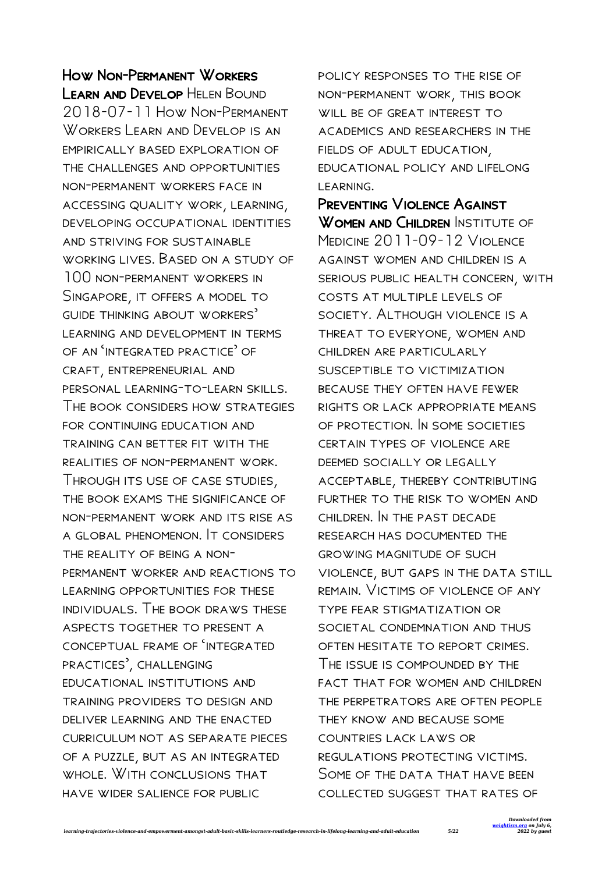#### How Non-Permanent Workers **LEARN AND DEVELOP HELEN BOUND**

2018-07-11 How Non-Permanent Workers Learn and Develop is an empirically based exploration of the challenges and opportunities non-permanent workers face in accessing quality work, learning, developing occupational identities and striving for sustainable working lives. Based on a study of 100 non-permanent workers in SINGAPORE, IT OFFERS A MODEL TO guide thinking about workers' learning and development in terms of an 'integrated practice' of craft, entrepreneurial and personal learning-to-learn skills. The book considers how strategies FOR CONTINUING EDUCATION AND training can better fit with the realities of non-permanent work. THROUGH ITS USE OF CASE STUDIES, the book exams the significance of non-permanent work and its rise as a global phenomenon. It considers THE REALITY OF REING A NONpermanent worker and reactions to learning opportunities for these individuals. The book draws these aspects together to present a conceptual frame of 'integrated practices', challenging educational institutions and training providers to design and deliver learning and the enacted curriculum not as separate pieces of a puzzle, but as an integrated WHOLE. WITH CONCLUSIONS THAT have wider salience for public

policy responses to the rise of non-permanent work, this book WILL BE OF GREAT INTEREST TO academics and researchers in the FIELDS OF ADULT EDUCATION. educational policy and lifelong learning.

Preventing Violence Against WOMEN AND CHILDREN INSTITUTE OF Medicine 2011-09-12 Violence against women and children is a serious public health concern, with costs at multiple levels of society. Although violence is a threat to everyone, women and children are particularly SUSCEPTIBLE TO VICTIMIZATION because they often have fewer rights or lack appropriate means of protection. In some societies certain types of violence are deemed socially or legally acceptable, thereby contributing further to the risk to women and children. In the past decade research has documented the growing magnitude of such violence, but gaps in the data still remain. Victims of violence of any type fear stigmatization or SOCIETAL CONDEMNATION AND THUS often hesitate to report crimes. The issue is compounded by the fact that for women and children the perpetrators are often people they know and because some countries lack laws or regulations protecting victims. SOME OF THE DATA THAT HAVE BEEN collected suggest that rates of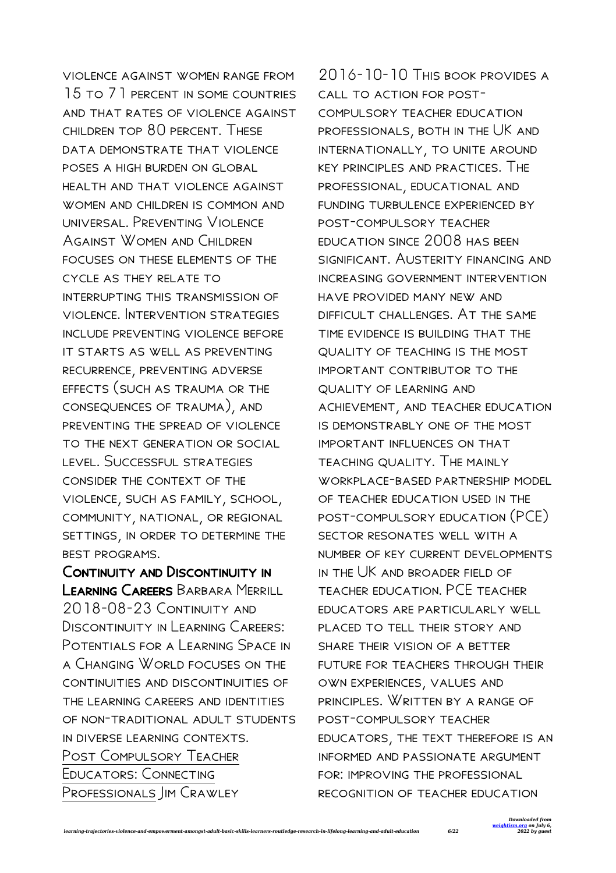violence against women range from 15 to 71 percent in some countries and that rates of violence against children top 80 percent. These DATA DEMONSTRATE THAT VIOLENCE poses a high burden on global health and that violence against WOMEN AND CHILDREN IS COMMON AND universal. Preventing Violence AGAINST WOMEN AND CHILDREN focuses on these elements of the cycle as they relate to interrupting this transmission of violence. Intervention strategies include preventing violence before it starts as well as preventing recurrence, preventing adverse effects (such as trauma or the consequences of trauma), and preventing the spread of violence to the next generation or social level. Successful strategies consider the context of the violence, such as family, school, community, national, or regional settings, in order to determine the best programs.

Continuity and Discontinuity in Learning Careers Barbara Merrill 2018-08-23 Continuity and DISCONTINUITY IN EARNING CAREERS' POTENTIALS FOR A FARNING SPACE IN a Changing World focuses on the continuities and discontinuities of the learning careers and identities of non-traditional adult students in diverse learning contexts. Post Compulsory Teacher Educators: Connecting Professionals Jim Crawley

compulsory teacher education professionals, both in the UK and internationally, to unite around key principles and practices. The professional, educational and funding turbulence experienced by post-compulsory teacher education since 2008 has been significant. Austerity financing and increasing government intervention have provided many new and DIFFICULT CHALLENGES AT THE SAME time evidence is building that the quality of teaching is the most important contributor to the quality of learning and achievement, and teacher education is demonstrably one of the most important influences on that teaching quality. The mainly workplace-based partnership model of teacher education used in the post-compulsory education (PCE) sector resonates well with a number of key current developments in the UK and broader field of teacher education. PCE teacher educators are particularly well placed to tell their story and SHARE THEIR VISION OF A BETTER future for teachers through their own experiences, values and principles. Written by a range of post-compulsory teacher educators, the text therefore is an informed and passionate argument for: improving the professional recognition of teacher education

2016-10-10 This book provides a

call to action for post-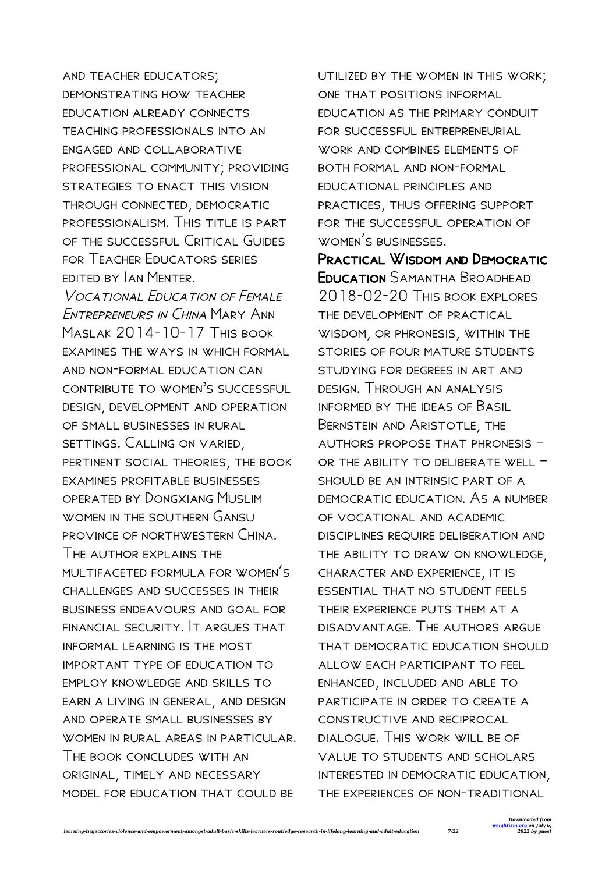and teacher educators; demonstrating how teacher education already connects teaching professionals into an engaged and collaborative professional community; providing strategies to enact this vision through connected, democratic professionalism. This title is part of the successful Critical Guides for Teacher Educators series edited by Ian Menter.

Vocational Education of Female Entrepreneurs in China Mary Ann Maslak 2014-10-17 This book examines the ways in which formal and non-formal education can contribute to women's successful design, development and operation of small businesses in rural settings. Calling on varied, pertinent social theories, the book examines profitable businesses operated by Dongxiang Muslim women in the southern Gansu province of northwestern China. The author explains the multifaceted formula for women's challenges and successes in their business endeavours and goal for FINANCIAL SECURITY **IT ARGUES THAT** informal learning is the most important type of education to employ knowledge and skills to earn a living in general, and design and operate small businesses by WOMEN IN RURAL AREAS IN PARTICULAR. The book concludes with an original, timely and necessary model for education that could be

utilized by the women in this work; one that positions informal education as the primary conduit for successful entrepreneurial work and combines elements of both formal and non-formal educational principles and practices, thus offering support for the successful operation of women's businesses.

Practical Wisdom and Democratic Education Samantha Broadhead 2018-02-20 This book explores the development of practical wisdom, or phronesis, within the stories of four mature students studying for degrees in art and design. Through an analysis informed by the ideas of Basil Bernstein and Aristotle, the authors propose that phronesis – or the ability to deliberate well – SHOULD BE AN INTRINSIC PART OF A democratic education. As a number of vocational and academic disciplines require deliberation and the ability to draw on knowledge, character and experience, it is essential that no student feels their experience puts them at a disadvantage. The authors argue THAT DEMOCRATIC EDUCATION SHOULD allow each participant to feel enhanced, included and able to participate in order to create a constructive and reciprocal dialogue. This work will be of value to students and scholars interested in democratic education, the experiences of non-traditional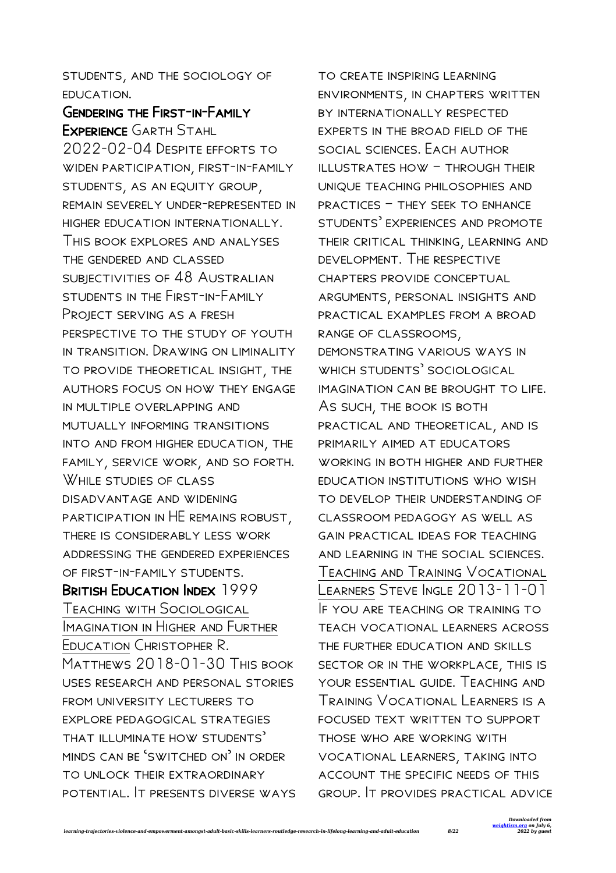students, and the sociology of education.

## Gendering the First-in-Family EXPERIENCE GARTH STAHL

2022-02-04 Despite efforts to widen participation, first-in-family students, as an equity group, remain severely under-represented in higher education internationally. This book explores and analyses the gendered and classed subjectivities of 48 Australian students in the First-in-Family Project serving as a fresh perspective to the study of youth in transition. Drawing on liminality to provide theoretical insight, the authors focus on how they engage in multiple overlapping and mutually informing transitions into and from higher education, the family, service work, and so forth. WHILE STUDIES OF CLASS disadvantage and widening participation in HE remains robust, there is considerably less work addressing the gendered experiences of first-in-family students. BRITISH EDUCATION INDEX 1999 Teaching with Sociological Imagination in Higher and Further Education Christopher R. MATTHEWS 2018-01-30 THIS BOOK uses research and personal stories from university lecturers to explore pedagogical strategies that illuminate how students' minds can be 'switched on' in order to unlock their extraordinary potential. It presents diverse ways

to create inspiring learning environments, in chapters written by internationally respected experts in the broad field of the social sciences. Each author illustrates how – through their unique teaching philosophies and practices – they seek to enhance students' experiences and promote their critical thinking, learning and development. The respective chapters provide conceptual arguments, personal insights and practical examples from a broad range of classrooms, demonstrating various ways in WHICH STUDENTS<sup>3</sup> SOCIOLOGICAL imagination can be brought to life. As such, the book is both practical and theoretical, and is primarily aimed at educators working in both higher and further education institutions who wish to develop their understanding of classroom pedagogy as well as gain practical ideas for teaching and learning in the social sciences. Teaching and Training Vocational LEARNERS STEVE INGLE 2013-11-01 If you are teaching or training to teach vocational learners across the further education and skills sector or in the workplace, this is your essential guide. Teaching and Training Vocational Learners is a focused text written to support those who are working with vocational learners, taking into account the specific needs of this group. It provides practical advice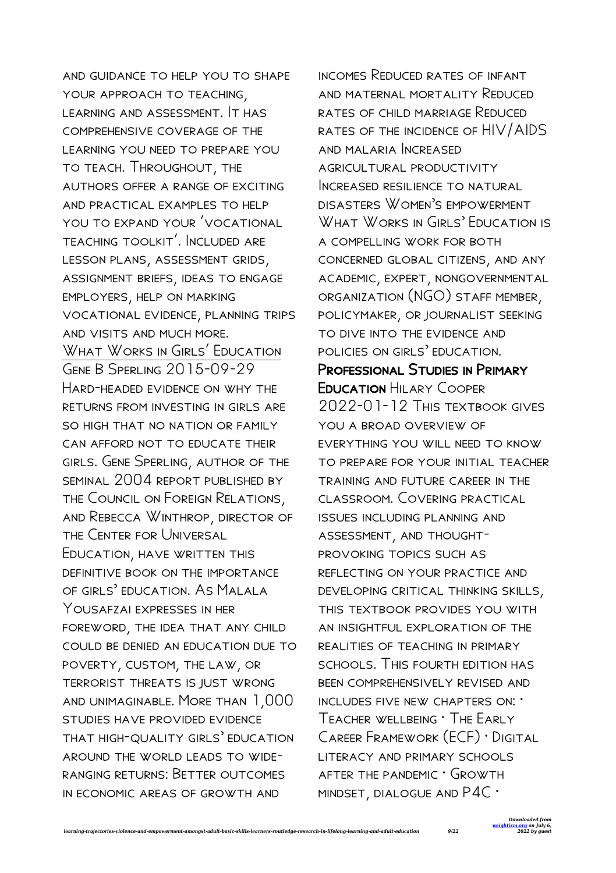and guidance to help you to shape YOUR APPROACH TO TEACHING, learning and assessment. It has comprehensive coverage of the learning you need to prepare you to teach. Throughout, the authors offer a range of exciting and practical examples to help you to expand your 'vocational teaching toolkit'. Included are lesson plans, assessment grids, assignment briefs, ideas to engage employers, help on marking vocational evidence, planning trips and visits and much more. WHAT WORKS IN GIRLS' EDUCATION Gene B Sperling 2015-09-29 Hard-headed evidence on why the returns from investing in girls are SO HIGH THAT NO NATION OR FAMILY can afford not to educate their girls. Gene Sperling, author of the seminal 2004 report published by the Council on Foreign Relations, and Rebecca Winthrop, director of the Center for Universal Education, have written this definitive book on the importance of girls' education. As Malala Yousafzai expresses in her foreword, the idea that any child could be denied an education due to poverty, custom, the law, or terrorist threats is just wrong and unimaginable. More than 1,000 studies have provided evidence that high-quality girls' education around the world leads to wideranging returns: Better outcomes in economic areas of growth and

incomes Reduced rates of infant and maternal mortality Reduced rates of child marriage Reduced rates of the incidence of HIV/AIDS and malaria Increased AGRICULTURAL PRODUCTIVITY Increased resilience to natural disasters Women's empowerment WHAT WORKS IN GIRLS' EDUCATION IS a compelling work for both concerned global citizens, and any academic, expert, nongovernmental organization (NGO) staff member, policymaker, or journalist seeking to dive into the evidence and policies on girls' education. Professional Studies in Primary Education Hilary Cooper 2022-01-12 THIS TEXTBOOK GIVES you a broad overview of everything you will need to know to prepare for your initial teacher training and future career in the classroom. Covering practical issues including planning and assessment, and thoughtprovoking topics such as reflecting on your practice and developing critical thinking skills, this textbook provides you with an insightful exploration of the realities of teaching in primary SCHOOLS THIS FOURTH EDITION HAS been comprehensively revised and includes five new chapters on: · Teacher wellbeing · The Early Career Framework (ECF) · Digital literacy and primary schools after the pandemic · Growth mindset, dialogue and P4C ·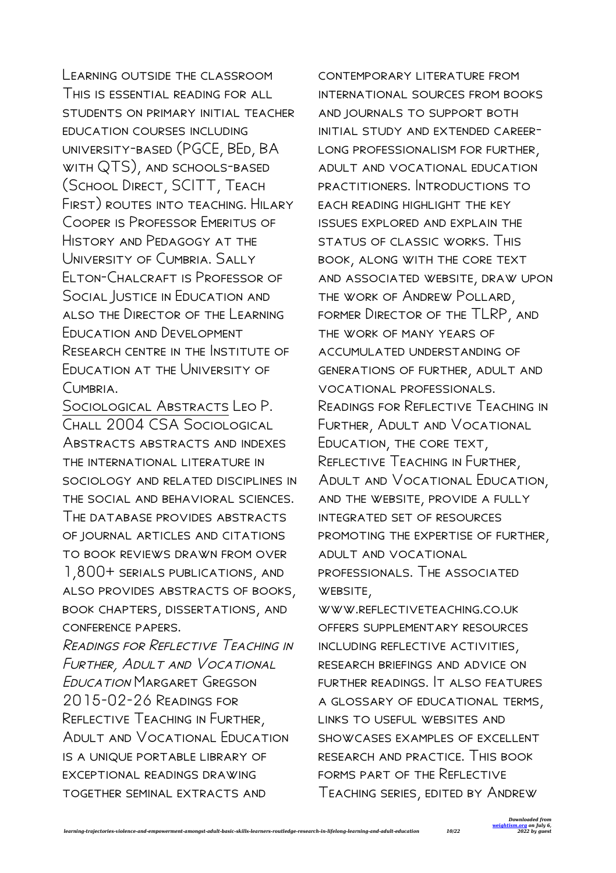Learning outside the classroom This is essential reading for all students on primary initial teacher education courses including university-based (PGCE, BEd, BA with QTS), and schools-based (School Direct, SCITT, Teach First) routes into teaching. Hilary Cooper is Professor Emeritus of History and Pedagogy at the UNIVERSITY OF CUMBRIA SALLY Elton-Chalcraft is Professor of SOCIAL JUSTICE IN EDUCATION AND also the Director of the Learning Education and Development Research centre in the Institute of Education at the University of  $C$ IMBRIA

Sociological Abstracts Leo P. Chall 2004 CSA Sociological Abstracts abstracts and indexes the international literature in sociology and related disciplines in the social and behavioral sciences. The database provides abstracts of journal articles and citations to book reviews drawn from over 1,800+ serials publications, and also provides abstracts of books, book chapters, dissertations, and conference papers.

Readings for Reflective Teaching in FURTHER ADULT AND VOCATIONAL Education Margaret Gregson 2015-02-26 Readings for Reflective Teaching in Further, Adult and Vocational Education is a unique portable library of exceptional readings drawing together seminal extracts and

contemporary literature from international sources from books and journals to support both initial study and extended career-LONG PROFESSIONALISM FOR FURTHER adult and vocational education practitioners. Introductions to each reading highlight the key issues explored and explain the status of classic works. This book, along with the core text and associated website, draw upon the work of Andrew Pollard, former Director of the TLRP, and the work of many years of accumulated understanding of generations of further, adult and vocational professionals. Readings for Reflective Teaching in FURTHER, ADULT AND VOCATIONAL Education, the core text, Reflective Teaching in Further, Adult and Vocational Education, and the website, provide a fully integrated set of resources promoting the expertise of further, adult and vocational professionals. The associated **WEBSITE** 

www.reflectiveteaching.co.uk offers supplementary resources including reflective activities, research briefings and advice on further readings. It also features a glossary of educational terms, links to useful websites and showcases examples of excellent research and practice. This book forms part of the Reflective Teaching series, edited by Andrew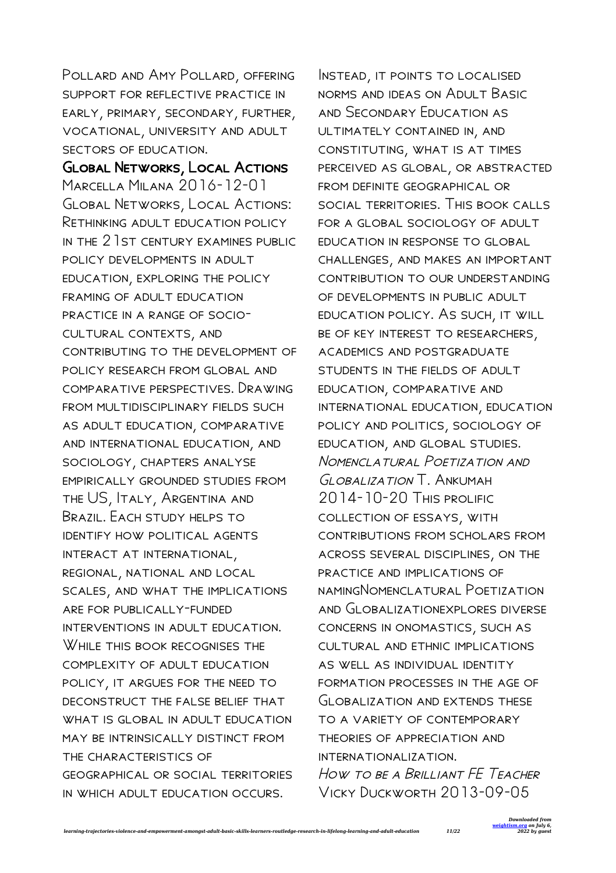Pollard and Amy Pollard, offering support for reflective practice in early, primary, secondary, further, vocational, university and adult sectors of education.

Global Networks, Local Actions Marcella Milana 2016-12-01 Global Networks, Local Actions: Rethinking adult education policy in the 21st century examines public policy developments in adult education, exploring the policy framing of adult education practice in a range of sociocultural contexts, and contributing to the development of policy research from global and comparative perspectives. Drawing FROM MULTIDISCIPLINARY FIELDS SUCH as adult education, comparative and international education, and sociology, chapters analyse empirically grounded studies from the US, Italy, Argentina and Brazil. Each study helps to identify how political agents interact at international, regional, national and local scales, and what the implications are for publically-funded interventions in adult education. WHILE THIS BOOK RECOGNISES THE complexity of adult education policy, it argues for the need to deconstruct the false belief that WHAT IS GLOBAL IN ADULT EDUCATION may be intrinsically distinct from the characteristics of geographical or social territories in which adult education occurs.

Instead, it points to localised norms and ideas on Adult Basic and Secondary Education as ultimately contained in, and constituting, what is at times perceived as global, or abstracted from definite geographical or social territories. This book calls for a global sociology of adult education in response to global challenges, and makes an important contribution to our understanding of developments in public adult education policy. As such, it will be of key interest to researchers, academics and postgraduate STUDENTS IN THE FIFLDS OF ADULT education, comparative and international education, education policy and politics, sociology of education, and global studies. Nomenclatural Poetization and  $G$ I OBALIZATION  $T$  ANKLIMAH 2014-10-20 This prolific collection of essays, with contributions from scholars from across several disciplines, on the practice and implications of namingNomenclatural Poetization and Globalizationexplores diverse concerns in onomastics, such as cultural and ethnic implications as well as individual identity formation processes in the age of Globalization and extends these to a variety of contemporary theories of appreciation and internationalization. How to be a Brilliant FE Teacher Vicky Duckworth 2013-09-05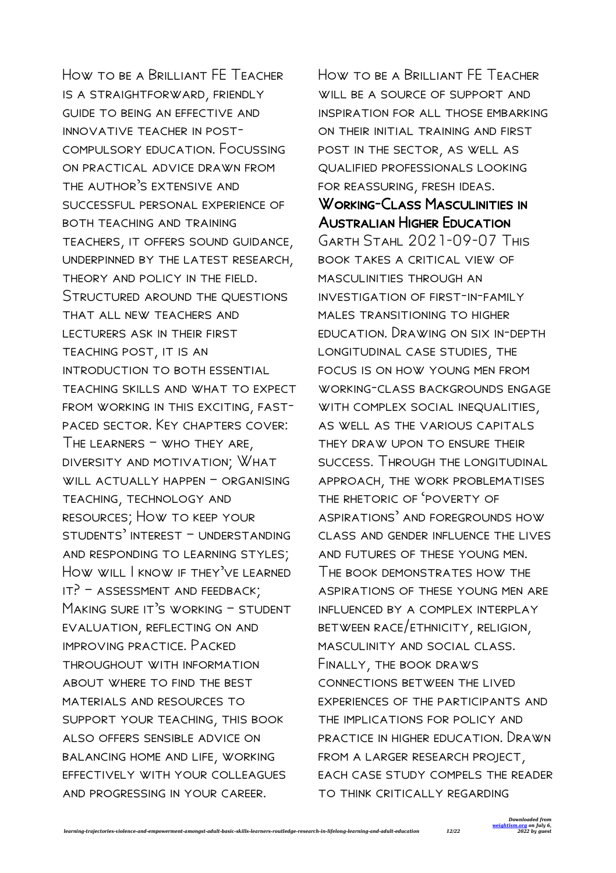How to be a Brilliant FE Teacher is a straightforward, friendly guide to being an effective and innovative teacher in postcompulsory education. Focussing on practical advice drawn from THE AUTHOR'S EXTENSIVE AND successful personal experience of both teaching and training teachers, it offers sound guidance, underpinned by the latest research, theory and policy in the field. Structured around the questions that all new teachers and lecturers ask in their first teaching post, it is an introduction to both essential teaching skills and what to expect FROM WORKING IN THIS EXCITING, FASTpaced sector. Key chapters cover: The learners – who they are, diversity and motivation; What WILL ACTUALLY HAPPEN - ORGANISING teaching, technology and resources; How to keep your students' interest – understanding and responding to learning styles; How will I know if THEY'VE LEARNED it? – assessment and feedback; Making sure it's working – student evaluation, reflecting on and improving practice. Packed throughout with information about where to find the best materials and resources to support your teaching, this book also offers sensible advice on balancing home and life, working effectively with your colleagues and progressing in your career.

How to be a Brilliant FE Teacher WILL BE A SOURCE OF SUPPORT AND inspiration for all those embarking on their initial training and first post in the sector, as well as qualified professionals looking for reassuring, fresh ideas.

# Working-Class Masculinities in Australian Higher Education

Garth Stahl 2021-09-07 This book takes a critical view of masculinities through an investigation of first-in-family males transitioning to higher education. Drawing on six in-depth longitudinal case studies, the focus is on how young men from working-class backgrounds engage WITH COMPLEX SOCIAL INEQUALITIES, as well as the various capitals they draw upon to ensure their success. Through the longitudinal approach, the work problematises the rhetoric of 'poverty of aspirations' and foregrounds how class and gender influence the lives and futures of these young men. The book demonstrates how the aspirations of these young men are INFI UFNCED BY A COMPLEX INTERPLAY between race/ethnicity, religion, masculinity and social class. Finally, the book draws connections between the lived experiences of the participants and the implications for policy and practice in higher education. Drawn from a larger research project, each case study compels the reader to think critically regarding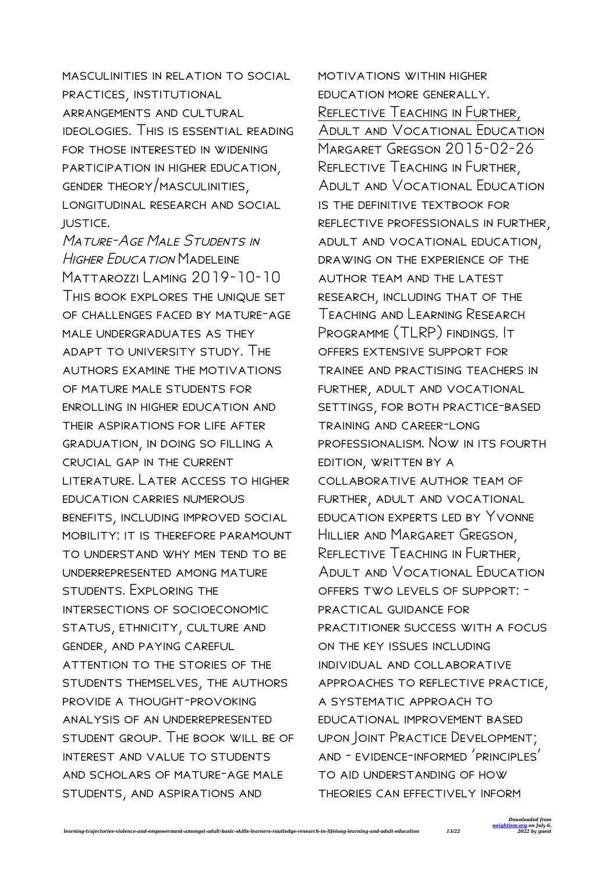masculinities in relation to social practices, institutional ARRANGEMENTS AND CULTURAL ideologies. This is essential reading for those interested in widening participation in higher education, gender theory/masculinities, longitudinal research and social **JUSTICE.** 

Mature-Age Male Students in HIGHER EDUCATION MADELEINE Mattarozzi Laming 2019-10-10 This book explores the unique set of challenges faced by mature-age male undergraduates as they adapt to university study. The authors examine the motivations of mature male students for enrolling in higher education and their aspirations for life after graduation, in doing so filling a crucial gap in the current literature. Later access to higher education carries numerous benefits, including improved social mobility: it is therefore paramount to understand why men tend to be underrepresented among mature students. Exploring the intersections of socioeconomic status, ethnicity, culture and gender, and paying careful attention to the stories of the students themselves, the authors provide a thought-provoking analysis of an underrepresented student group. The book will be of interest and value to students and scholars of mature-age male students, and aspirations and

motivations within higher education more generally. Reflective Teaching in Further, Adult and Vocational Education Margaret Gregson 2015-02-26 Reflective Teaching in Further, Adult and Vocational Education is the definitive textbook for reflective professionals in further, adult and vocational education, drawing on the experience of the author team and the latest research, including that of the Teaching and Learning Research Programme (TLRP) findings. It offers extensive support for trainee and practising teachers in further, adult and vocational settings, for both practice-based training and career-long professionalism. Now in its fourth edition, written by a collaborative author team of further, adult and vocational education experts led by Yvonne Hillier and Margaret Gregson, Reflective Teaching in Further, Adult and Vocational Education offers two levels of support: practical guidance for practitioner success with a focus on the key issues including individual and collaborative approaches to reflective practice, a systematic approach to educational improvement based upon Joint Practice Development; and - evidence-informed 'principles' to aid understanding of how theories can effectively inform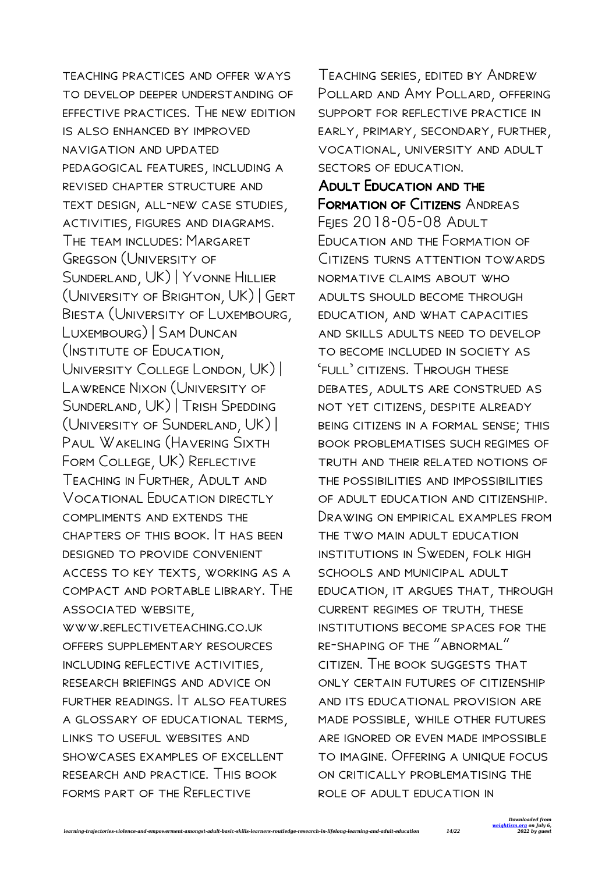teaching practices and offer ways to develop deeper understanding of effective practices. The new edition is also enhanced by improved navigation and updated pedagogical features, including a revised chapter structure and text design, all-new case studies, activities, figures and diagrams. The team includes: Margaret Gregson (University of Sunderland, UK) | Yvonne Hillier (University of Brighton, UK) | Gert Biesta (University of Luxembourg, Luxembourg) | Sam Duncan (Institute of Education, University College London, UK) | Lawrence Nixon (University of Sunderland, UK) | Trish Spedding (University of Sunderland, UK) | Paul Wakeling (Havering Sixth Form College, UK) Reflective Teaching in Further, Adult and Vocational Education directly compliments and extends the chapters of this book. It has been designed to provide convenient access to key texts, working as a compact and portable library. The associated website, WWW.REFLECTIVETEACHING.CO.UK offers supplementary resources including reflective activities, research briefings and advice on

further readings. It also features a glossary of educational terms, links to useful websites and showcases examples of excellent research and practice. This book forms part of the Reflective

Teaching series, edited by Andrew Pollard and Amy Pollard, offering support for reflective practice in early, primary, secondary, further, vocational, university and adult sectors of education.

#### Adult Education and the **FORMATION OF CITIZENS ANDREAS**

**FEIES 2018-05-08 ADULT** Education and the Formation of CITIZENS TURNS ATTENTION TOWARDS normative claims about who adults should become through education, and what capacities and skills adults need to develop to become included in society as 'full' citizens. Through these debates, adults are construed as not yet citizens, despite already being citizens in a formal sense; this book problematises such regimes of truth and their related notions of the possibilities and impossibilities of adult education and citizenship. Drawing on empirical examples from THE TWO MAIN ADULT EDUCATION institutions in Sweden, folk high schools and municipal adult education, it argues that, through current regimes of truth, these institutions become spaces for the re-shaping of the "abnormal" citizen. The book suggests that only certain futures of citizenship and its educational provision are made possible, while other futures are ignored or even made impossible to imagine. Offering a unique focus on critically problematising the role of adult education in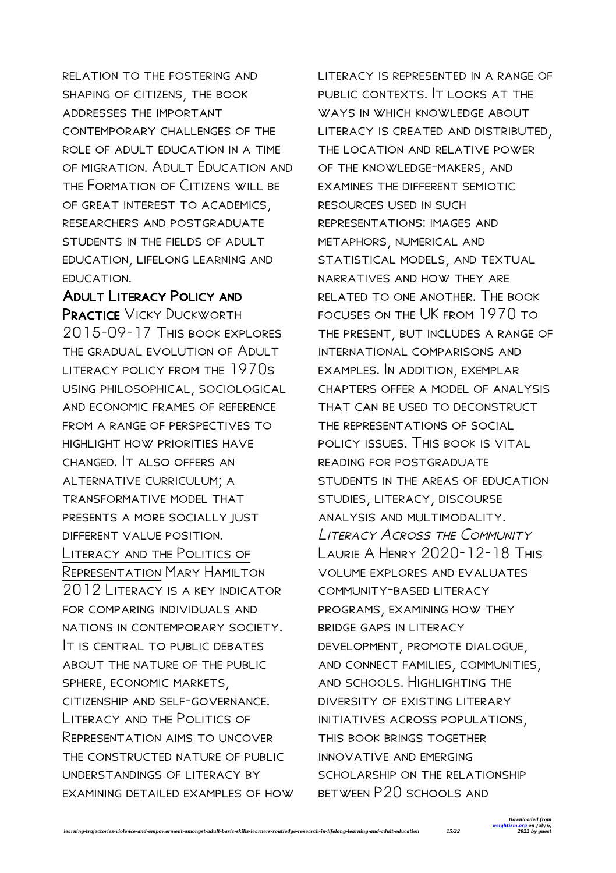relation to the fostering and SHAPING OF CITIZENS, THE BOOK addresses the important contemporary challenges of the role of adult education in a time of migration. Adult Education and the Formation of Citizens will be of great interest to academics, researchers and postgraduate STUDENTS IN THE FIFI DS OF ADULT education, lifelong learning and education.

## Adult Literacy Policy and

PRACTICE VICKY DUCKWORTH 2015-09-17 This book explores THE GRADUAL EVOLUTION OF ADULT literacy policy from the 1970s using philosophical, sociological and economic frames of reference from a range of perspectives to highlight how priorities have changed. It also offers an alternative curriculum; a transformative model that presents a more socially just different value position. Literacy and the Politics of Representation Mary Hamilton 2012 Literacy is a key indicator for comparing individuals and nations in contemporary society. It is central to public debates about the nature of the public sphere, economic markets, citizenship and self-governance. LITERACY AND THE POLITICS OF Representation aims to uncover the constructed nature of public understandings of literacy by examining detailed examples of how literacy is represented in a range of public contexts. It looks at the WAYS IN WHICH KNOWLEDGE ABOUT literacy is created and distributed, the location and relative power of the knowledge-makers, and examines the different semiotic resources used in such representations: images and metaphors, numerical and STATISTICAL MODELS, AND TEXTUAL narratives and how they are related to one another. The book focuses on the UK from 1970 to the present, but includes a range of international comparisons and examples. In addition, exemplar chapters offer a model of analysis that can be used to deconstruct the representations of social policy issues. This book is vital reading for postgraduate students in the areas of education studies, literacy, discourse analysis and multimodality. Literacy Across the Community Laurie A Henry 2020-12-18 This volume explores and evaluates community-based literacy programs, examining how they bridge gaps in literacy development, promote dialogue, and connect families, communities, and schools. Highlighting the diversity of existing literary initiatives across populations, this book brings together innovative and emerging scholarship on the relationship between P20 schools and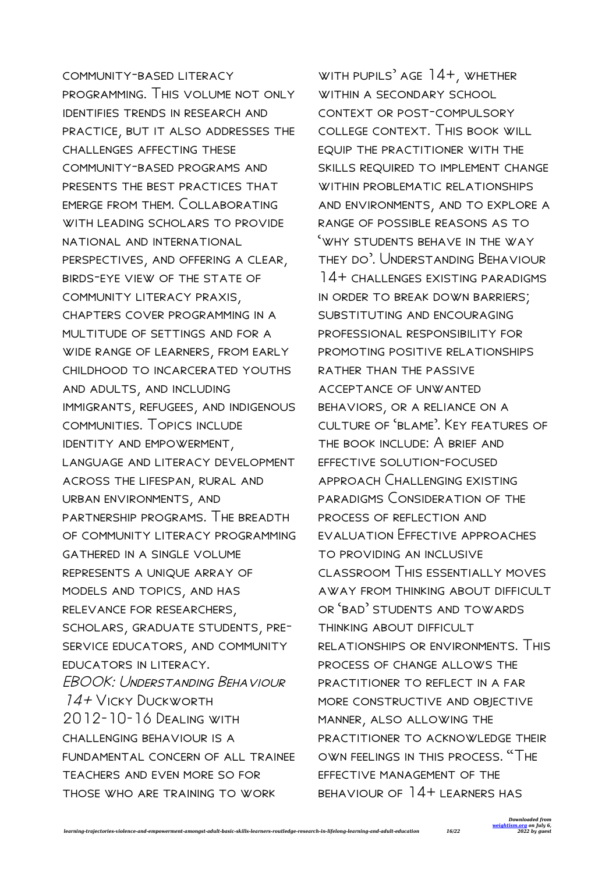community-based literacy programming. This volume not only identifies trends in research and practice, but it also addresses the challenges affecting these community-based programs and presents the best practices that emerge from them. Collaborating WITH LEADING SCHOLARS TO PROVIDE national and international perspectives, and offering a clear, birds-eye view of the state of community literacy praxis, chapters cover programming in a multitude of settings and for a wide range of learners, from early childhood to incarcerated youths and adults, and including immigrants, refugees, and indigenous communities. Topics include identity and empowerment, language and literacy development across the lifespan, rural and urban environments, and partnership programs. The breadth of community literacy programming gathered in a single volume represents a unique array of models and topics, and has relevance for researchers, scholars, graduate students, preservice educators, and community educators in literacy. EBOOK: Understanding Behaviour 14+ Vicky Duckworth 2012-10-16 Dealing with challenging behaviour is a fundamental concern of all trainee teachers and even more so for those who are training to work

with pupils' age 14+, whether WITHIN A SECONDARY SCHOOL context or post-compulsory college context. This book will equip the practitioner with the skills required to implement change WITHIN PROBLEMATIC RELATIONSHIPS and environments, and to explore a range of possible reasons as to 'why students behave in the way they do'. Understanding Behaviour 14+ challenges existing paradigms in order to break down barriers; substituting and encouraging professional responsibility for promoting positive relationships rather than the passive acceptance of unwanted behaviors, or a reliance on a culture of 'blame'. Key features of the book include: A brief and effective solution-focused approach Challenging existing paradigms Consideration of the process of reflection and evaluation Effective approaches to providing an inclusive classroom This essentially moves away from thinking about difficult or 'bad' students and towards THINKING ABOUT DIFFICULT relationships or environments. This process of change allows the practitioner to reflect in a far more constructive and objective manner, also allowing the practitioner to acknowledge their own feelings in this process. "The effective management of the behaviour of 14+ learners has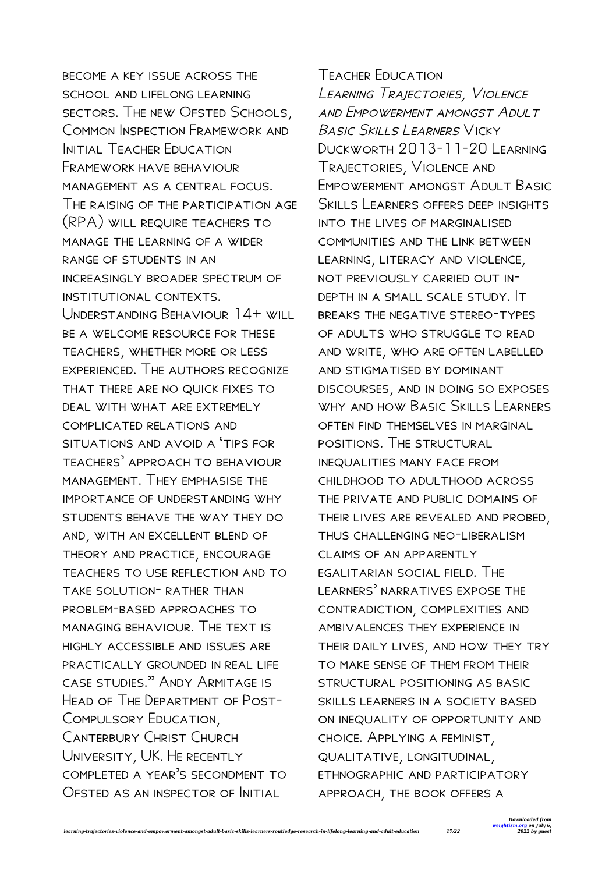become a key issue across the school and lifelong learning sectors. The new Ofsted Schools, Common Inspection Framework and INITIAL TEACHER EDUCATION FRAMEWORK HAVE BEHAVIOUR management as a central focus. The raising of the participation age (RPA) will require teachers to manage the learning of a wider range of students in an increasingly broader spectrum of institutional contexts. Understanding Behaviour 14+ will be a welcome resource for these teachers, whether more or less experienced. The authors recognize that there are no quick fixes to deal with what are extremely complicated relations and situations and avoid a 'tips for teachers' approach to behaviour management. They emphasise the importance of understanding why students behave the way they do and, with an excellent blend of theory and practice, encourage teachers to use reflection and to take solution- rather than problem-based approaches to managing behaviour. The text is highly accessible and issues are practically grounded in real life case studies." Andy Armitage is Head of The Department of Post-Compulsory Education, Canterbury Christ Church University, UK. He recently completed a year's secondment to Ofsted as an inspector of Initial

Teacher Education Learning Trajectories, Violence and EMPOWERMENT AMONGST ADULT Basic Skills Learners Vicky Duckworth 2013-11-20 Learning Trajectories, Violence and EMPOWERMENT AMONGST ADULT BASIC SKILLS LEARNERS OFFERS DEEP INSIGHTS into the lives of marginalised communities and the link between learning, literacy and violence, not previously carried out indepth in a small scale study. It breaks the negative stereo-types of adults who struggle to read and write, who are often labelled and stigmatised by dominant discourses, and in doing so exposes why and how Basic Skills Learners often find themselves in marginal positions. The structural inequalities many face from childhood to adulthood across the private and public domains of their lives are revealed and probed, thus challenging neo-liberalism claims of an apparently egalitarian social field. The learners' narratives expose the contradiction, complexities and ambivalences they experience in their daily lives, and how they try to make sense of them from their structural positioning as basic skills learners in a society based on inequality of opportunity and choice. Applying a feminist, qualitative, longitudinal, ethnographic and participatory approach, the book offers a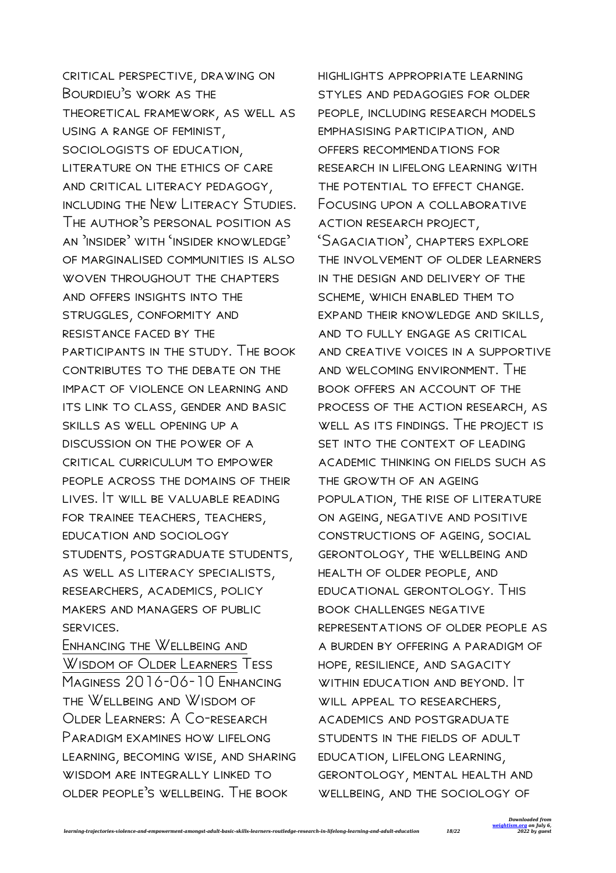critical perspective, drawing on Bourdieu's work as the theoretical framework, as well as using a range of feminist, sociologists of education, literature on the ethics of care and critical literacy pedagogy, including the New Literacy Studies. The author's personal position as an 'insider' with 'insider knowledge' of marginalised communities is also woven throughout the chapters and offers insights into the struggles, conformity and resistance faced by the participants in the study. The book CONTRIBUTES TO THE DEBATE ON THE impact of violence on learning and its link to class, gender and basic skills as well opening up a discussion on the power of a critical curriculum to empower people across the domains of their lives. It will be valuable reading for trainee teachers, teachers, education and sociology students, postgraduate students, as well as literacy specialists, researchers, academics, policy makers and managers of public services.

Enhancing the Wellbeing and Wisdom of Older Learners Tess Maginess 2016-06-10 Enhancing the Wellbeing and Wisdom of Older Learners: A Co-research Paradigm examines how lifelong learning, becoming wise, and sharing wisdom are integrally linked to older people's wellbeing. The book

highlights appropriate learning styles and pedagogies for older people, including research models emphasising participation, and offers recommendations for research in lifelong learning with the potential to effect change. Focusing upon a collaborative action research project, 'Sagaciation', chapters explore THE INVOLVEMENT OF OLDER LEARNERS in the design and delivery of the scheme, which enabled them to expand their knowledge and skills, and to fully engage as critical and creative voices in a supportive and welcoming environment. The book offers an account of the process of the action research, as well as its findings. The project is SET INTO THE CONTEXT OF LEADING academic thinking on fields such as the growth of an ageing population, the rise of literature on ageing, negative and positive constructions of ageing, social gerontology, the wellbeing and health of older people, and educational gerontology. This book challenges negative representations of older people as a burden by offering a paradigm of hope, resilience, and sagacity WITHIN EDUCATION AND BEYOND. **IT** will appeal to researchers, academics and postgraduate students in the fields of adult education, lifelong learning, gerontology, mental health and wellbeing, and the sociology of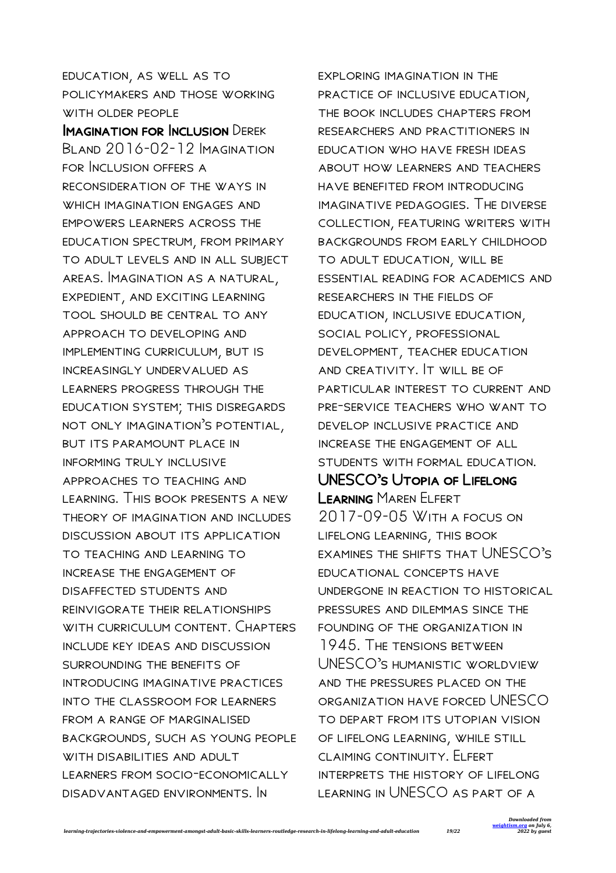# education, as well as to policymakers and those working WITH OLDER PEOPLE

Imagination for Inclusion Derek Bland 2016-02-12 Imagination for Inclusion offers a reconsideration of the ways in WHICH IMAGINATION ENGAGES AND empowers learners across the education spectrum, from primary to adult levels and in all subject areas. Imagination as a natural, expedient, and exciting learning tool should be central to any approach to developing and implementing curriculum, but is increasingly undervalued as learners progress through the education system; this disregards not only imagination's potential, but its paramount place in informing truly inclusive approaches to teaching and learning. This book presents a new theory of imagination and includes discussion about its application to teaching and learning to increase the engagement of disaffected students and reinvigorate their relationships WITH CURRICULUM CONTENT. CHAPTERS include key ideas and discussion surrounding the benefits of introducing imaginative practices into the classroom for learners from a range of marginalised backgrounds, such as young people WITH DISABILITIES AND ADULT learners from socio-economically disadvantaged environments. In

exploring imagination in the practice of inclusive education, the book includes chapters from researchers and practitioners in education who have fresh ideas about how learners and teachers HAVE RENEFITED FROM INTRODUCING imaginative pedagogies. The diverse collection, featuring writers with backgrounds from early childhood to adult education, will be essential reading for academics and researchers in the fields of education, inclusive education, social policy, professional development, teacher education and creativity. It will be of particular interest to current and pre-service teachers who want to develop inclusive practice and increase the engagement of all students with formal education. UNESCO's Utopia of Lifelong

**LEARNING MAREN FLEERT** 2017-09-05 With a focus on lifelong learning, this book examines the shifts that UNESCO's educational concepts have undergone in reaction to historical pressures and dilemmas since the founding of the organization in 1945. The tensions between UNESCO's humanistic worldview and the pressures placed on the organization have forced UNESCO to depart from its utopian vision of lifelong learning, while still claiming continuity. Elfert interprets the history of lifelong learning in UNESCO as part of a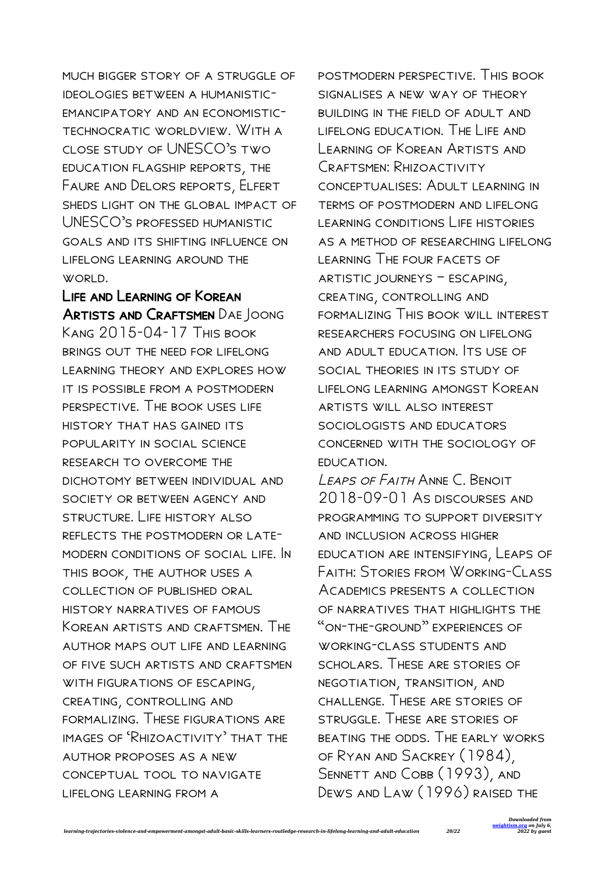much bigger story of a struggle of ideologies between a humanisticemancipatory and an economistictechnocratic worldview. With a close study of UNESCO's two education flagship reports, the Faure and Delors reports, Elfert sheds light on the global impact of UNESCO's professed humanistic goals and its shifting influence on lifelong learning around the world.

Life and Learning of Korean Artists and Craftsmen Dae Joong Kang 2015-04-17 This book brings out the need for lifelong learning theory and explores how it is possible from a postmodern perspective. The book uses life history that has gained its popularity in social science research to overcome the dichotomy between individual and society or between agency and structure. Life history also reflects the postmodern or latemodern conditions of social life. In this book, the author uses a collection of published oral history narratives of famous Korean artists and craftsmen. The author maps out life and learning of five such artists and craftsmen WITH FIGURATIONS OF ESCAPING. creating, controlling and formalizing. These figurations are images of 'Rhizoactivity' that the author proposes as a new conceptual tool to navigate lifelong learning from a

postmodern perspective. This book signalises a new way of theory building in the field of adult and lifelong education. The Life and Learning of Korean Artists and Craftsmen: Rhizoactivity conceptualises: Adult learning in terms of postmodern and lifelong learning conditions Life histories as a method of researching lifelong learning The four facets of artistic journeys – escaping, creating, controlling and formalizing This book will interest researchers focusing on lifelong and adult education. Its use of social theories in its study of lifelong learning amongst Korean artists will also interest sociologists and educators concerned with the sociology of education.

Leaps of Faith Anne C. Benoit 2018-09-01 As discourses and programming to support diversity and inclusion across higher education are intensifying, Leaps of Faith: Stories from Working-Class Academics presents a collection OF NARRATIVES THAT HIGHI IGHTS THE "on-the-ground" experiences of working-class students and scholars. These are stories of negotiation, transition, and challenge. These are stories of struggle. These are stories of beating the odds. The early works of Ryan and Sackrey (1984), SENNETT AND COBB (1993), AND Dews and Law (1996) raised the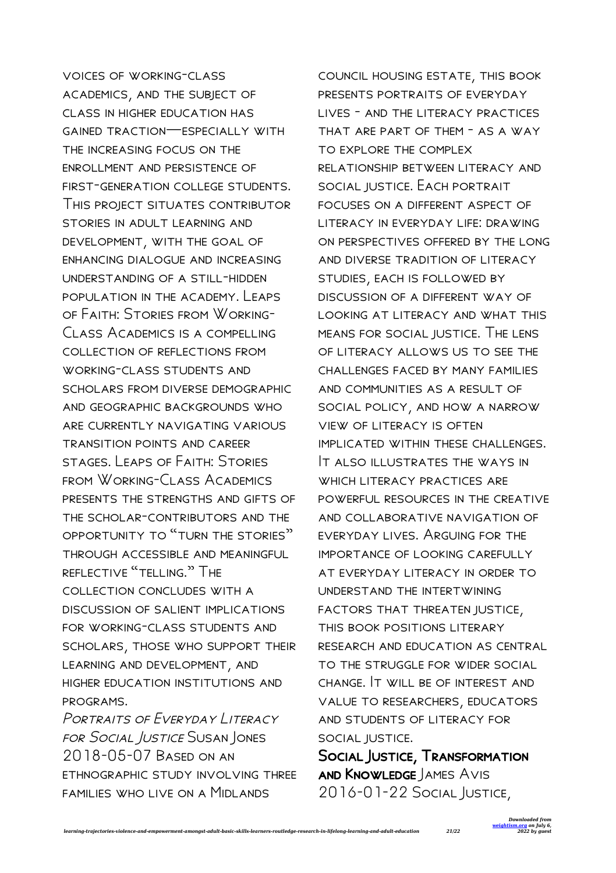voices of working-class academics, and the subject of class in higher education has gained traction—especially with the increasing focus on the enrollment and persistence of first-generation college students. This project situates contributor stories in adult learning and development, with the goal of enhancing dialogue and increasing understanding of a still-hidden population in the academy. Leaps of Faith: Stories from Working-Class Academics is a compelling collection of reflections from working-class students and scholars from diverse demographic and geographic backgrounds who are currently navigating various transition points and career stages. Leaps of Faith: Stories FROM WORKING-CLASS ACADEMICS presents the strengths and gifts of the scholar-contributors and the opportunity to "turn the stories" through accessible and meaningful reflective "telling." The collection concludes with a discussion of salient implications for working-class students and scholars, those who support their learning and development, and higher education institutions and programs. PORTRAITS OF EVERYDAY LITERACY

for Social Justice Susan Jones 2018-05-07 Based on an ethnographic study involving three families who live on a Midlands

council housing estate, this book presents portraits of everyday lives - and the literacy practices that are part of them - as a way to explore the complex relationship between literacy and social justice. Each portrait focuses on a different aspect of literacy in everyday life: drawing on perspectives offered by the long and diverse tradition of literacy studies, each is followed by discussion of a different way of looking at literacy and what this means for social justice. The lens of literacy allows us to see the challenges faced by many families and communities as a result of social policy, and how a narrow view of literacy is often implicated within these challenges. It also illustrates the ways in WHICH LITERACY PRACTICES ARE powerful resources in the creative and collaborative navigation of everyday lives. Arguing for the importance of looking carefully at everyday literacy in order to understand the intertwining factors that threaten justice, this book positions literary research and education as central to the struggle for wider social change. It will be of interest and value to researchers, educators and students of literacy for social justice.

Social Justice, Transformation **AND KNOWLEDGE JAMES AVIS** 2016-01-22 Social Justice,